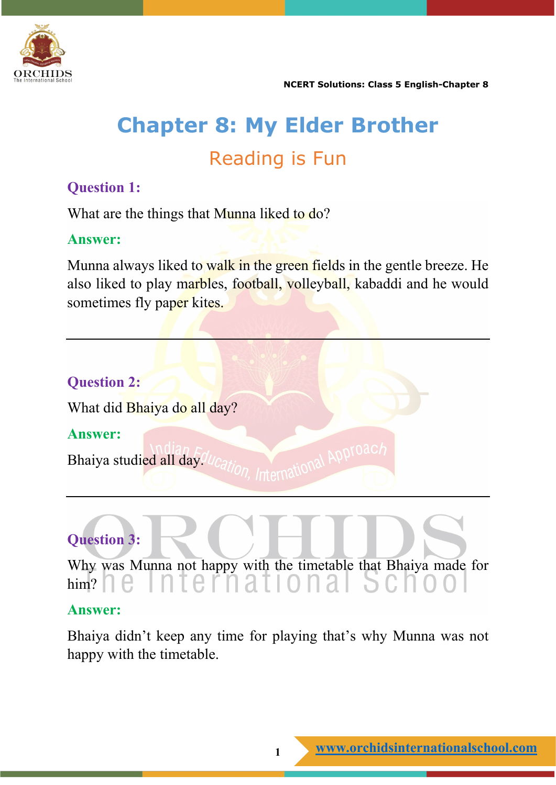

# **Chapter 8: My Elder Brother** Reading is Fun

#### **Question 1:**

What are the things that Munna liked to do?

#### **Answer:**

Munna always liked to walk in the green fields in the gentle breeze. He also liked to play marbles, football, volleyball, kabaddi and he would sometimes fly paper kites.



# **Question 3:**

Why was Munna not happy with the timetable that Bhaiya made for him?

#### **Answer:**

Bhaiya didn't keep any time for playing that's why Munna was not happy with the timetable.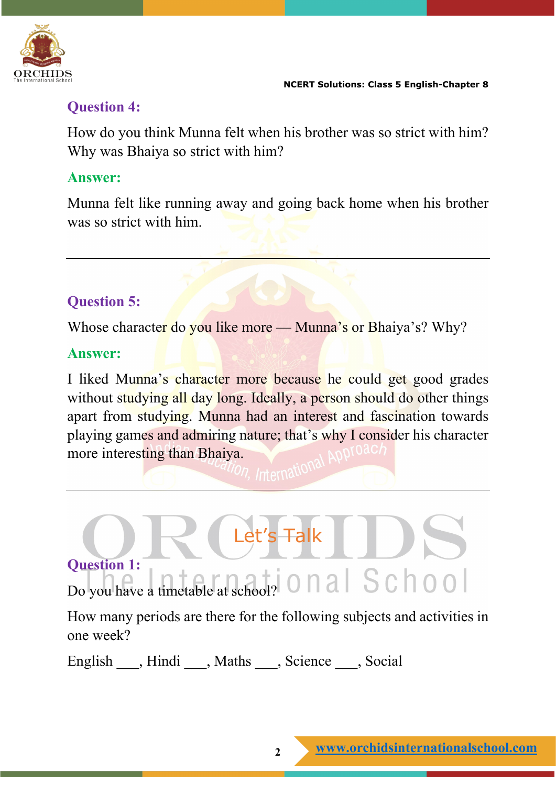

#### **Question 4:**

How do you think Munna felt when his brother was so strict with him? Why was Bhaiya so strict with him?

#### **Answer:**

Munna felt like running away and going back home when his brother was so strict with him.

# **Question 5:**

Whose character do you like more — Munna's or Bhaiya's? Why?

#### **Answer:**

I liked Munna's character more because he could get good grades without studying all day long. Ideally, a person should do other things apart from studying. Munna had an interest and fascination towards playing games and admiring nature; that's why I consider his character more interesting than Bhaiya.

# Let's Talk **Question 1:** Do you have a timetable at school? O n a S c h o o

How many periods are there for the following subjects and activities in one week?

English \_\_\_, Hindi \_\_\_, Maths \_\_\_, Science \_\_\_, Social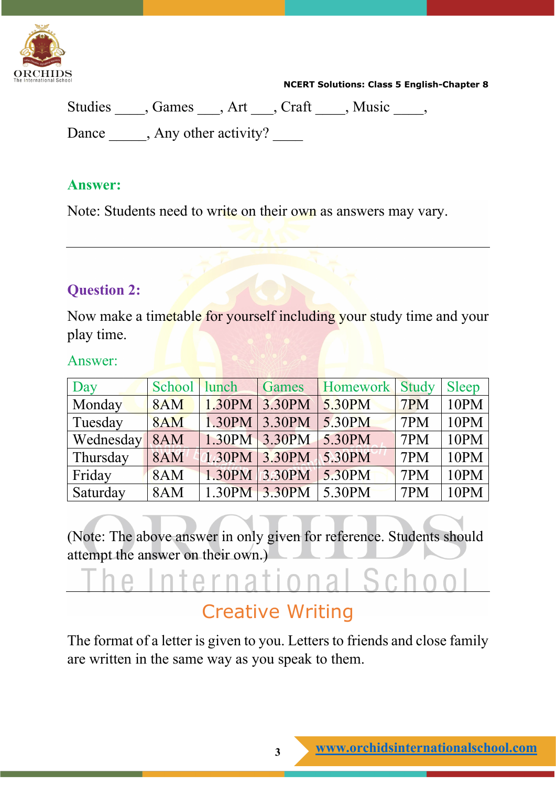

| Studies , Games , Art , Craft , Music |  |  |
|---------------------------------------|--|--|
| Dance, Any other activity?            |  |  |

#### **Answer:**

Note: Students need to write on their own as answers may vary.

#### **Question 2:**

Now make a timetable for yourself including your study time and your play time.

Answer:

| Day       | School lunch |                      | Games            | Homework Study     |     | <b>Sleep</b> |
|-----------|--------------|----------------------|------------------|--------------------|-----|--------------|
| Monday    | 8AM          | $1.30$ PM 3.30PM     |                  | 5.30 <sub>PM</sub> | 7PM | 10PM         |
| Tuesday   | 8AM          | 1.30PM 3.30PM        |                  | 5.30PM             | 7PM | 10PM         |
| Wednesday | 8AM          |                      | $1.30$ PM 3.30PM | 5.30PM             | 7PM | 10PM         |
| Thursday  | <b>8AM</b>   | $(1.30$ PM 3.30PM    |                  | $5.30$ PM          | 7PM | 10PM         |
| Friday    | 8AM          | 1.30PM               | $3.30$ PM        | 5.30PM             | 7PM | 10PM         |
| Saturday  | 8AM          | $1.30$ PM $ 3.30$ PM |                  | $5.30$ PM          | 7PM | 10PM         |

(Note: The above answer in only given for reference. Students should attempt the answer on their own.)

# $\overline{\mathcal{L}}$  $\mathcal{L}$

# Creative Writing

The format of a letter is given to you. Letters to friends and close family are written in the same way as you speak to them.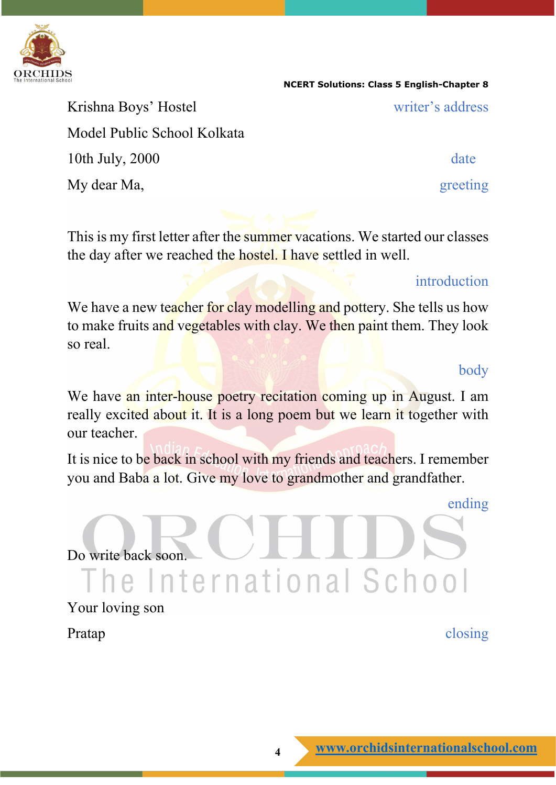

Krishna Boys' Hostel writer's address Model Public School Kolkata 10th July, 2000 date My dear Ma, greeting

**NCERT Solutions: Class 5 English-Chapter 8**

This is my first letter after the summer vacations. We started our classes the day after we reached the hostel. I have settled in well.

#### introduction

We have a new teacher for clay modelling and pottery. She tells us how to make fruits and vegetables with clay. We then paint them. They look so real.

body

We have an inter-house poetry recitation coming up in August. I am really excited about it. It is a long poem but we learn it together with our teacher.

It is nice to be back in school with my friends and teachers. I remember you and Baba a lot. Give my love to grandmother and grandfather.

ending

Do write back soon. The International School

Your loving son

Pratap closing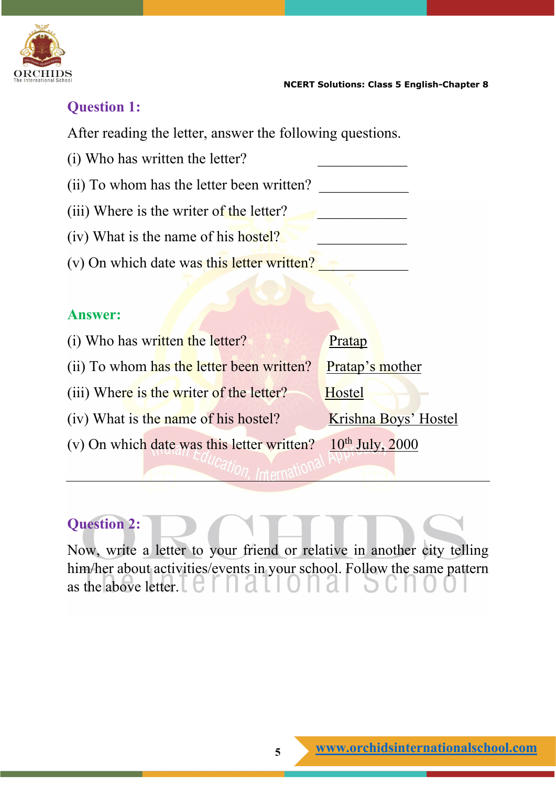

# **Question 1:**

After reading the letter, answer the following questions.

- (i) Who has written the letter?
- (ii) To whom has the letter been written?
- (iii) Where is the writer of the letter?
- (iv) What is the name of his hostel?
- (v) On which date was this letter written?

#### **Answer:**

(i) Who has written the letter? Pratap (ii) To whom has the letter been written? Pratap's mother (iii) Where is the writer of the letter? Hostel (iv) What is the name of his hostel? Krishna Boys' Hostel (v) On which date was this letter written?  $10^{th}$  July, 2000

# **Question 2:**

Now, write a letter to your friend or relative in another city telling him/her about activities/events in your school. Follow the same pattern as the above letter.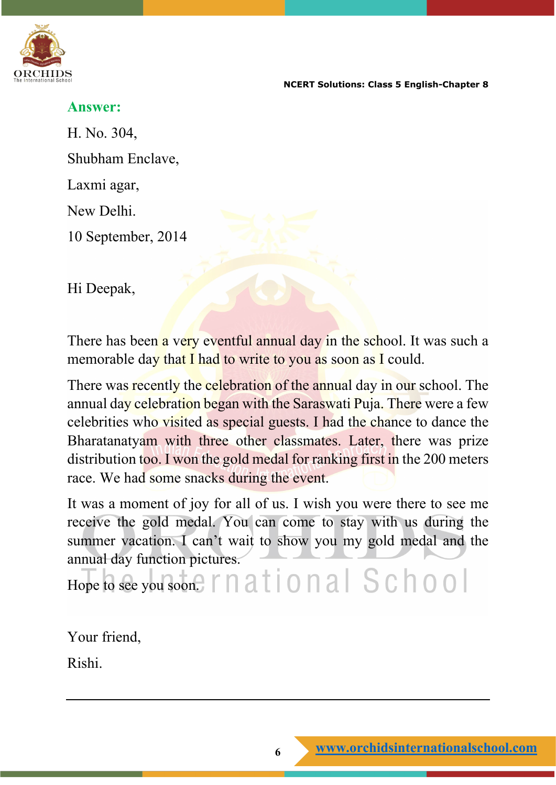

#### **Answer:**

H. No. 304, Shubham Enclave, Laxmi agar, New Delhi. 10 September, 2014

Hi Deepak,

There has been a very eventful annual day in the school. It was such a memorable day that I had to write to you as soon as I could.

There was recently the celebration of the annual day in our school. The annual day celebration began with the Saraswati Puja. There were a few celebrities who visited as special guests. I had the chance to dance the Bharatanatyam with three other classmates. Later, there was prize distribution too. I won the gold medal for ranking first in the 200 meters race. We had some snacks during the event.

It was a moment of joy for all of us. I wish you were there to see me receive the gold medal. You can come to stay with us during the summer vacation. I can't wait to show you my gold medal and the annual day function pictures.

Hope to see you soon.  $\Gamma \cap \overline{a}$   $\Gamma$   $\cap$   $\overline{a}$   $\Gamma$   $\cap$   $\overline{a}$   $\Gamma$   $\subset$   $\Gamma$   $\cap$   $\Gamma$   $\Gamma$ 

Your friend,

Rishi.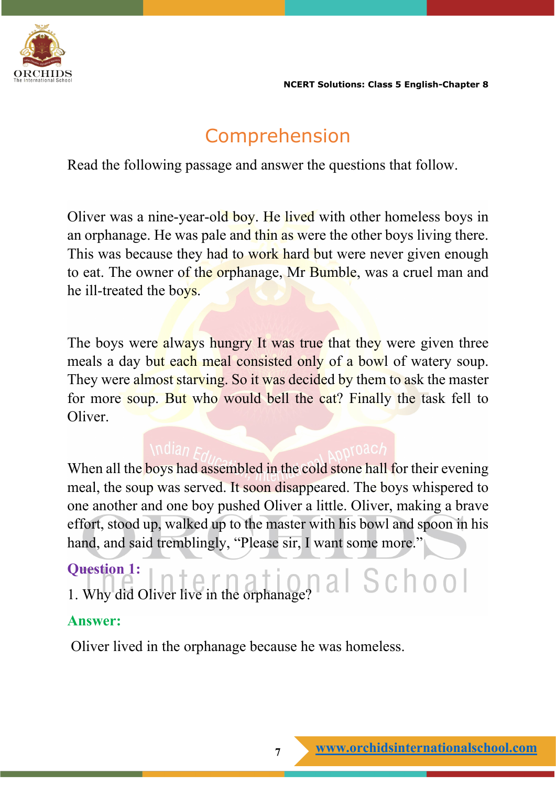

# Comprehension

Read the following passage and answer the questions that follow.

Oliver was a nine-year-old boy. He lived with other homeless boys in an orphanage. He was pale and thin as were the other boys living there. This was because they had to work hard but were never given enough to eat. The owner of the orphanage, Mr Bumble, was a cruel man and he ill-treated the boys.

The boys were always hungry It was true that they were given three meals a day but each meal consisted only of a bowl of watery soup. They were almost starving. So it was decided by them to ask the master for more soup. But who would bell the cat? Finally the task fell to Oliver.

When all the boys had assembled in the cold stone hall for their evening meal, the soup was served. It soon disappeared. The boys whispered to one another and one boy pushed Oliver a little. Oliver, making a brave effort, stood up, walked up to the master with his bowl and spoon in his hand, and said tremblingly, "Please sir, I want some more."

#### **Question 1:**

1. Why did Oliver live in the orphanage?  $\begin{bmatrix} 1 & 0 & 0 \\ 0 & 0 & 0 \\ 0 & 0 & 0 \end{bmatrix}$ 

#### **Answer:**

Oliver lived in the orphanage because he was homeless.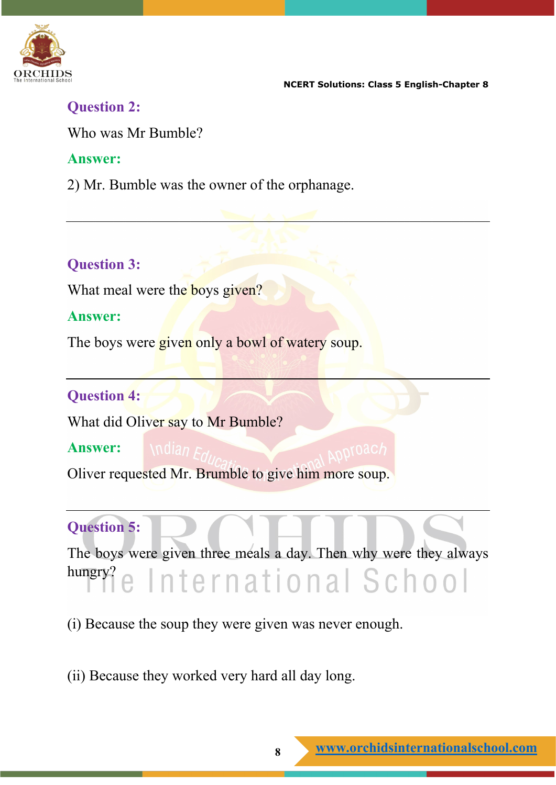

#### **Question 2:**

Who was Mr Bumble?

#### **Answer:**

2) Mr. Bumble was the owner of the orphanage.

## **Question 3:**

What meal were the boys given?

#### **Answer:**

The boys were given only a bowl of watery soup.

## **Question 4:**

What did Oliver say to Mr Bumble?

**Answer:** Oliver requested Mr. Brumble to give him more soup.

# **Question 5:**

The boys were given three meals a day. Then why were they always hungry? e International School

(i) Because the soup they were given was never enough.

(ii) Because they worked very hard all day long.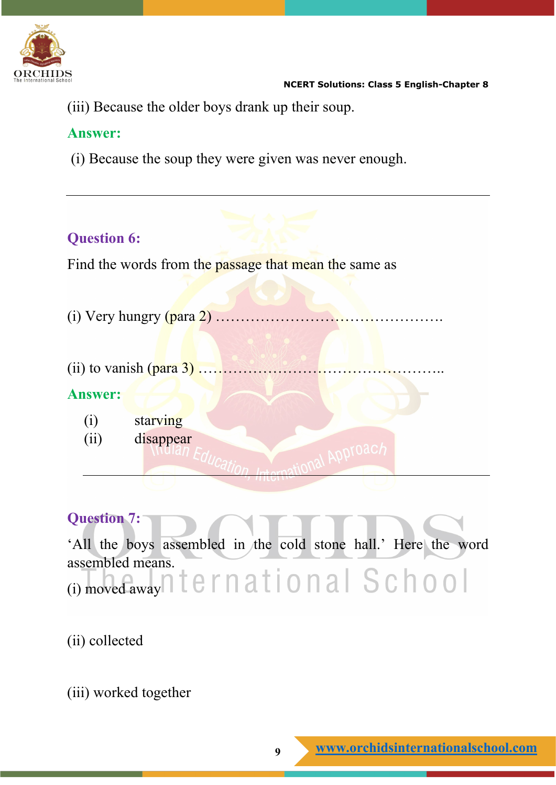

(iii) Because the older boys drank up their soup.

#### **Answer:**

(i) Because the soup they were given was never enough.

#### **Question 6:**

Find the words from the passage that mean the same as

- (i) Very hungry (para 2) ……………………………………….
- (ii) to vanish (para 3) …………………………………………..

#### **Answer:**

- (i) starving
- (ii) disappear

#### **Question 7:**

'All the boys assembled in the cold stone hall.' Here the word assembled means. (i) moved awayn ternational School

ADDIDAC

## (ii) collected

(iii) worked together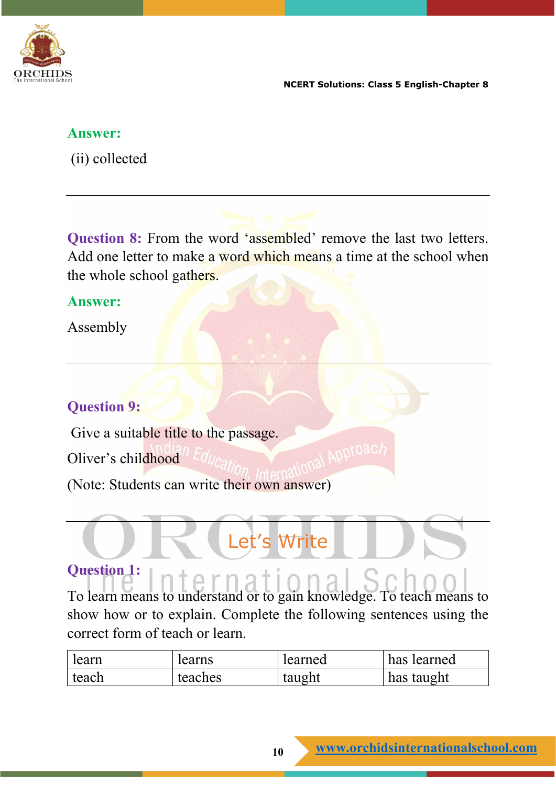

#### **Answer:**

(ii) collected

**Question 8:** From the word 'assembled' remove the last two letters. Add one letter to make a word which means a time at the school when the whole school gathers.

#### **Answer:**

Assembly

## **Question 9:**

Give a suitable title to the passage. Oliver's childhood (Note: Students can write their own answer)

# Write

# **Question 1:**

To learn means to understand or to gain knowledge. To teach means to show how or to explain. Complete the following sentences using the correct form of teach or learn.

| learn | learns  | learned | has learned |
|-------|---------|---------|-------------|
| teach | teaches | taught  | has taught  |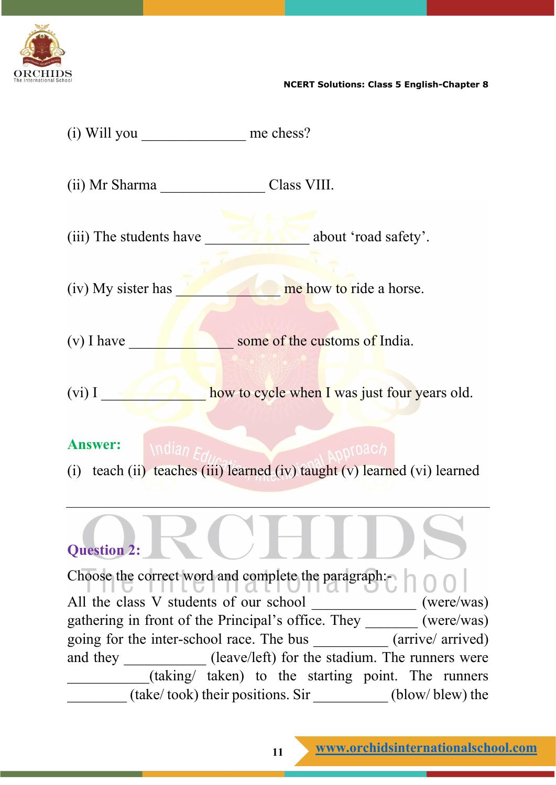

(i) Will you \_\_\_\_\_\_\_\_\_\_\_\_\_\_\_ me chess? (ii) Mr Sharma \_\_\_\_\_\_\_\_\_\_\_\_\_\_ Class VIII. (iii) The students have about 'road safety'. (iv) My sister has **the me** how to ride a horse. (v) I have some of the customs of India. (vi) I contract the how to cycle when I was just four years old. **Answer:** (i) teach (ii) teaches (iii) learned (iv) taught (v) learned (vi) learned

#### **Question 2:**

Choose the correct word and complete the paragraph:-All the class V students of our school \_\_\_\_\_\_\_\_\_\_\_\_\_\_ (were/was) gathering in front of the Principal's office. They \_\_\_\_\_\_\_ (were/was) going for the inter-school race. The bus \_\_\_\_\_\_\_\_\_\_ (arrive/ arrived) and they \_\_\_\_\_\_\_\_\_\_\_\_ (leave/left) for the stadium. The runners were \_\_\_\_\_\_\_\_\_\_\_(taking/ taken) to the starting point. The runners \_\_\_\_\_\_\_\_ (take/ took) their positions. Sir \_\_\_\_\_\_\_\_\_\_ (blow/ blew) the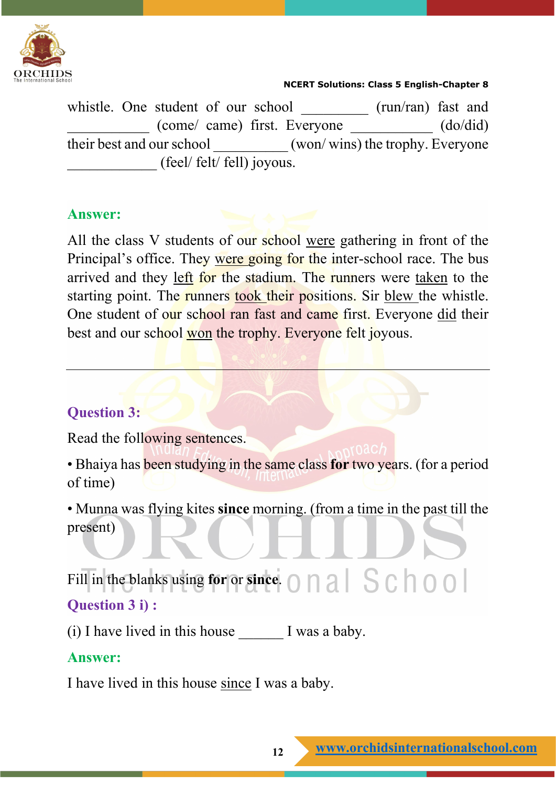

whistle. One student of our school \_\_\_\_\_\_\_\_\_ (run/ran) fast and \_\_\_\_\_\_\_\_\_\_\_ (come/ came) first. Everyone \_\_\_\_\_\_\_\_\_\_\_ (do/did) their best and our school (won/ wins) the trophy. Everyone \_\_\_\_\_\_\_\_\_\_\_\_ (feel/ felt/ fell) joyous.

#### **Answer:**

All the class V students of our school were gathering in front of the Principal's office. They were going for the inter-school race. The bus arrived and they left for the stadium. The runners were taken to the starting point. The runners took their positions. Sir blew the whistle. One student of our school ran fast and came first. Everyone did their best and our school won the trophy. Everyone felt joyous.

## **Question 3:**

Read the following sentences.

• Bhaiya has been studying in the same class **for** two years. (for a period of time)

• Munna was flying kites **since** morning. (from a time in the past till the present)

Fill in the blanks using **for** or **since**.  $\bigcap$   $\bigcap$   $\bigcap$   $\bigcap$   $\bigcap$   $\bigcap$   $\bigcap$   $\bigcap$   $\bigcap$   $\bigcap$ **Question 3 i) :**

(i) I have lived in this house  $\qquad$  I was a baby.

#### **Answer:**

I have lived in this house since I was a baby.